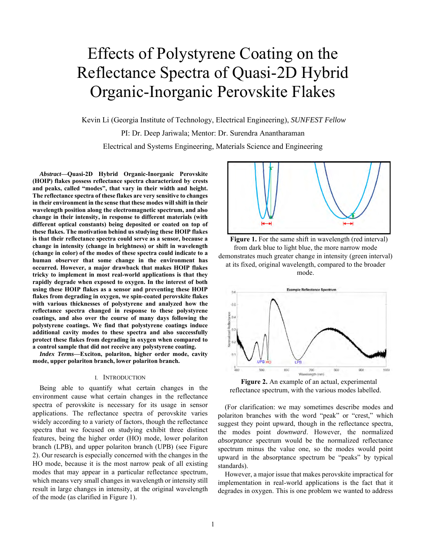# Effects of Polystyrene Coating on the Reflectance Spectra of Quasi-2D Hybrid Organic-Inorganic Perovskite Flakes

Kevin Li (Georgia Institute of Technology, Electrical Engineering), *SUNFEST Fellow*

PI: Dr. Deep Jariwala; Mentor: Dr. Surendra Anantharaman

Electrical and Systems Engineering, Materials Science and Engineering

*Abstract***—Quasi-2D Hybrid Organic-Inorganic Perovskite (HOIP) flakes possess reflectance spectra characterized by crests and peaks, called "modes", that vary in their width and height. The reflectance spectra of these flakes are very sensitive to changes in their environment in the sense that these modes will shift in their wavelength position along the electromagnetic spectrum, and also change in their intensity, in response to different materials (with different optical constants) being deposited or coated on top of these flakes. The motivation behind us studying these HOIP flakes is that their reflectance spectra could serve as a sensor, because a change in intensity (change in brightness) or shift in wavelength (change in color) of the modes of these spectra could indicate to a human observer that some change in the environment has occurred. However, a major drawback that makes HOIP flakes tricky to implement in most real-world applications is that they rapidly degrade when exposed to oxygen. In the interest of both using these HOIP flakes as a sensor and preventing these HOIP flakes from degrading in oxygen, we spin-coated perovskite flakes with various thicknesses of polystyrene and analyzed how the reflectance spectra changed in response to these polystyrene coatings, and also over the course of many days following the polystyrene coatings. We find that polystyrene coatings induce additional cavity modes to these spectra and also successfully protect these flakes from degrading in oxygen when compared to a control sample that did not receive any polystyrene coating.**

*Index Terms***—Exciton, polariton, higher order mode, cavity mode, upper polariton branch, lower polariton branch.**

#### I. INTRODUCTION

Being able to quantify what certain changes in the environment cause what certain changes in the reflectance spectra of perovskite is necessary for its usage in sensor applications. The reflectance spectra of perovskite varies widely according to a variety of factors, though the reflectance spectra that we focused on studying exhibit three distinct features, being the higher order (HO) mode, lower polariton branch (LPB), and upper polariton branch (UPB) (see Figure 2). Our research is especially concerned with the changes in the HO mode, because it is the most narrow peak of all existing modes that may appear in a particular reflectance spectrum, which means very small changes in wavelength or intensity still result in large changes in intensity, at the original wavelength of the mode (as clarified in Figure 1).



Figure 1. For the same shift in wavelength (red interval) from dark blue to light blue, the more narrow mode demonstrates much greater change in intensity (green interval) at its fixed, original wavelength, compared to the broader mode.



**Figure 2.** An example of an actual, experimental reflectance spectrum, with the various modes labelled.

(For clarification: we may sometimes describe modes and polariton branches with the word "peak" or "crest," which suggest they point upward, though in the reflectance spectra, the modes point *downward*. However, the normalized *absorptance* spectrum would be the normalized reflectance spectrum minus the value one, so the modes would point upward in the absorptance spectrum be "peaks" by typical standards).

However, a major issue that makes perovskite impractical for implementation in real-world applications is the fact that it degrades in oxygen. This is one problem we wanted to address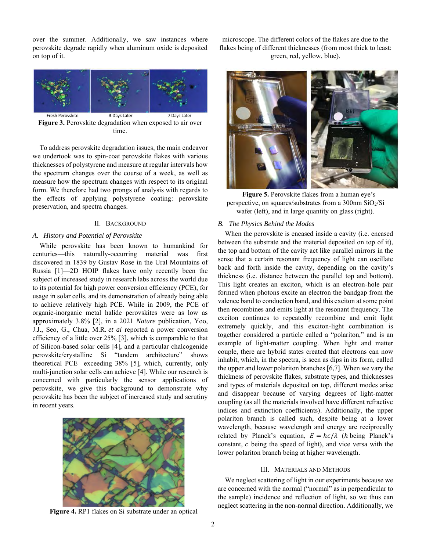over the summer. Additionally, we saw instances where perovskite degrade rapidly when aluminum oxide is deposited on top of it.



**Figure 3.** Perovskite degradation when exposed to air over time.

To address perovskite degradation issues, the main endeavor we undertook was to spin-coat perovskite flakes with various thicknesses of polystyrene and measure at regular intervals how the spectrum changes over the course of a week, as well as measure how the spectrum changes with respect to its original form. We therefore had two prongs of analysis with regards to the effects of applying polystyrene coating: perovskite preservation, and spectra changes.

## II. BACKGROUND

# *A. History and Potential of Perovskite*

While perovskite has been known to humankind for centuries—this naturally-occurring material was first discovered in 1839 by Gustav Rose in the Ural Mountains of Russia [1]—2D HOIP flakes have only recently been the subject of increased study in research labs across the world due to its potential for high power conversion efficiency (PCE), for usage in solar cells, and its demonstration of already being able to achieve relatively high PCE. While in 2009, the PCE of organic-inorganic metal halide perovskites were as low as approximately 3.8% [2], in a 2021 *Nature* publication, Yoo, J.J., Seo, G., Chua, M.R. *et al* reported a power conversion efficiency of a little over 25% [3], which is comparable to that of Silicon-based solar cells [4], and a particular chalcogenide perovskite/crystalline Si "tandem architecture" shows theoretical PCE exceeding 38% [5], which, currently, only multi-junction solar cells can achieve [4]. While our research is concerned with particularly the sensor applications of perovskite, we give this background to demonstrate why perovskite has been the subject of increased study and scrutiny in recent years.



**Figure 4.** RP1 flakes on Si substrate under an optical

microscope. The different colors of the flakes are due to the flakes being of different thicknesses (from most thick to least: green, red, yellow, blue).



**Figure 5.** Perovskite flakes from a human eye's perspective, on squares/substrates from a 300nm SiO2/Si wafer (left), and in large quantity on glass (right).

## *B. The Physics Behind the Modes*

When the perovskite is encased inside a cavity (i.e. encased between the substrate and the material deposited on top of it), the top and bottom of the cavity act like parallel mirrors in the sense that a certain resonant frequency of light can oscillate back and forth inside the cavity, depending on the cavity's thickness (i.e. distance between the parallel top and bottom). This light creates an exciton, which is an electron-hole pair formed when photons excite an electron the bandgap from the valence band to conduction band, and this exciton at some point then recombines and emits light at the resonant frequency. The exciton continues to repeatedly recombine and emit light extremely quickly, and this exciton-light combination is together considered a particle called a "polariton," and is an example of light-matter coupling. When light and matter couple, there are hybrid states created that electrons can now inhabit, which, in the spectra, is seen as dips in its form, called the upper and lower polariton branches [6,7]. When we vary the thickness of perovskite flakes, substrate types, and thicknesses and types of materials deposited on top, different modes arise and disappear because of varying degrees of light-matter coupling (as all the materials involved have different refractive indices and extinction coefficients). Additionally, the upper polariton branch is called such, despite being at a lower wavelength, because wavelength and energy are reciprocally related by Planck's equation,  $E = hc/\lambda$  (*h* being Planck's constant,  $c$  being the speed of light), and vice versa with the lower polariton branch being at higher wavelength.

#### III. MATERIALS AND METHODS

We neglect scattering of light in our experiments because we are concerned with the normal ("normal" as in perpendicular to the sample) incidence and reflection of light, so we thus can neglect scattering in the non-normal direction. Additionally, we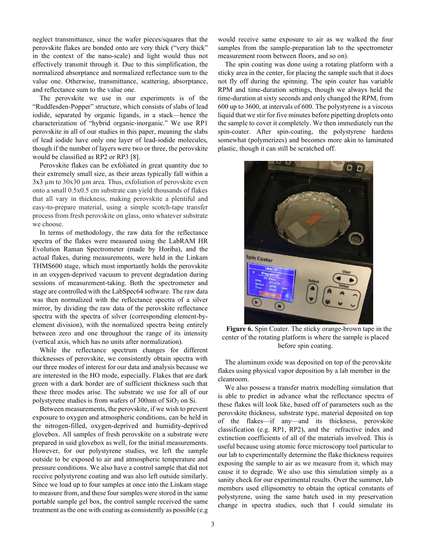neglect transmittance, since the wafer pieces/squares that the perovskite flakes are bonded onto are very thick ("very thick" in the context of the nano-scale) and light would thus not effectively transmit through it. Due to this simplification, the normalized absorptance and normalized reflectance sum to the value one. Otherwise, transmittance, scattering, absorptance, and reflectance sum to the value one.

The perovskite we use in our experiments is of the "Ruddlesden-Popper" structure, which consists of slabs of lead iodide, separated by organic ligands, in a stack—hence the characterization of "hybrid organic-inorganic." We use RP1 perovskite in all of our studies in this paper, meaning the slabs of lead iodide have only one layer of lead-iodide molecules, though if the number of layers were two or three, the perovskite would be classified as RP2 or RP3 [8].

Perovskite flakes can be exfoliated in great quantity due to their extremely small size, as their areas typically fall within a  $3x3 \mu$ m to  $30x30 \mu$ m area. Thus, exfoliation of perovskite even onto a small 0.5x0.5 cm substrate can yield thousands of flakes that all vary in thickness, making perovskite a plentiful and easy-to-prepare material, using a simple scotch-tape transfer process from fresh perovskite on glass, onto whatever substrate we choose.

In terms of methodology, the raw data for the reflectance spectra of the flakes were measured using the LabRAM HR Evolution Raman Spectrometer (made by Horiba), and the actual flakes, during measurements, were held in the Linkam THMS600 stage, which most importantly holds the perovskite in an oxygen-deprived vacuum to prevent degradation during sessions of measurement-taking. Both the spectrometer and stage are controlled with the LabSpec64 software. The raw data was then normalized with the reflectance spectra of a silver mirror, by dividing the raw data of the perovskite reflectance spectra with the spectra of silver (corresponding element-byelement division), with the normalized spectra being entirely between zero and one throughout the range of its intensity (vertical axis, which has no units after normalization).

While the reflectance spectrum changes for different thicknesses of perovskite, we consistently obtain spectra with our three modes of interest for our data and analysis because we are interested in the HO mode, especially. Flakes that are dark green with a dark border are of sufficient thickness such that these three modes arise. The substrate we use for all of our polystyrene studies is from wafers of 300nm of SiO<sub>2</sub> on Si.

Between measurements, the perovskite, if we wish to prevent exposure to oxygen and atmospheric conditions, can be held in the nitrogen-filled, oxygen-deprived and humidity-deprived glovebox. All samples of fresh perovskite on a substrate were prepared in said glovebox as well, for the initial measurements. However, for our polystyrene studies, we left the sample outside to be exposed to air and atmospheric temperature and pressure conditions. We also have a control sample that did not receive polystyrene coating and was also left outside similarly. Since we load up to four samples at once into the Linkam stage to measure from, and these four samples were stored in the same portable sample gel box, the control sample received the same treatment as the one with coating as consistently as possible (e.g

would receive same exposure to air as we walked the four samples from the sample-preparation lab to the spectrometer measurement room between floors, and so on).

The spin coating was done using a rotating platform with a sticky area in the center, for placing the sample such that it does not fly off during the spinning. The spin coater has variable RPM and time-duration settings, though we always held the time-duration at sixty seconds and only changed the RPM, from 600 up to 3600, at intervals of 600. The polystyrene is a viscous liquid that we stir for five minutes before pipetting droplets onto the sample to cover it completely. We then immediately run the spin-coater. After spin-coating, the polystyrene hardens somewhat (polymerizes) and becomes more akin to laminated plastic, though it can still be scratched off.



**Figure 6.** Spin Coater. The sticky orange-brown tape in the center of the rotating platform is where the sample is placed before spin coating.

The aluminum oxide was deposited on top of the perovskite flakes using physical vapor deposition by a lab member in the cleanroom.

We also possess a transfer matrix modelling simulation that is able to predict in advance what the reflectance spectra of these flakes will look like, based off of parameters such as the perovskite thickness, substrate type, material deposited on top of the flakes—if any—and its thickness, perovskite classification (e.g. RP1, RP2), and the refractive index and extinction coefficients of all of the materials involved. This is useful because using atomic force microscopy tool particular to our lab to experimentally determine the flake thickness requires exposing the sample to air as we measure from it, which may cause it to degrade. We also use this simulation simply as a sanity check for our experimental results. Over the summer, lab members used ellipsometry to obtain the optical constants of polystyrene, using the same batch used in my preservation change in spectra studies, such that I could simulate its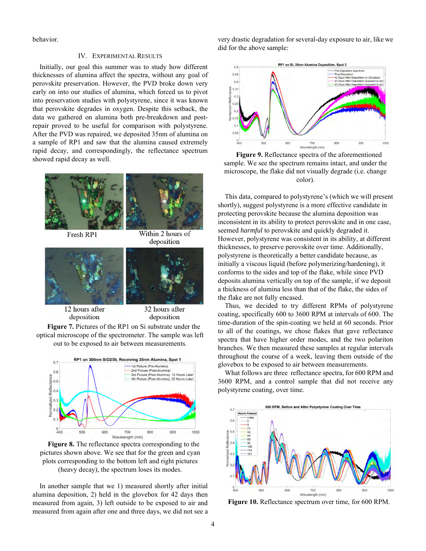behavior.

## IV. EXPERIMENTAL RESULTS

Initially, our goal this summer was to study how different thicknesses of alumina affect the spectra, without any goal of perovskite preservation. However, the PVD broke down very early on into our studies of alumina, which forced us to pivot into preservation studies with polystyrene, since it was known that perovskite degrades in oxygen. Despite this setback, the data we gathered on alumina both pre-breakdown and postrepair proved to be useful for comparison with polystyrene. After the PVD was repaired, we deposited 35nm of alumina on a sample of RP1 and saw that the alumina caused extremely rapid decay, and correspondingly, the reflectance spectrum showed rapid decay as well.



**Figure 7.** Pictures of the RP1 on Si substrate under the optical microscope of the spectrometer. The sample was left out to be exposed to air between measurements.



**Figure 8.** The reflectance spectra corresponding to the pictures shown above. We see that for the green and cyan plots corresponding to the bottom left and right pictures (heavy decay), the spectrum loses its modes.

In another sample that we 1) measured shortly after initial alumina deposition, 2) held in the glovebox for 42 days then measured from again, 3) left outside to be exposed to air and measured from again after one and three days, we did not see a very drastic degradation for several-day exposure to air, like we did for the above sample:



**Figure 9.** Reflectance spectra of the aforementioned sample. We see the spectrum remains intact, and under the microscope, the flake did not visually degrade (i.e. change color).

This data, compared to polystyrene's (which we will present shortly), suggest polystyrene is a more effective candidate in protecting perovskite because the alumina deposition was inconsistent in its ability to protect perovskite and in one case, seemed *harmful* to perovskite and quickly degraded it. However, polystyrene was consistent in its ability, at different thicknesses, to preserve perovskite over time. Additionally, polystyrene is theoretically a better candidate because, as initially a viscous liquid (before polymerizing/hardening), it conforms to the sides and top of the flake, while since PVD deposits alumina vertically on top of the sample, if we deposit a thickness of alumina less than that of the flake, the sides of the flake are not fully encased.

Thus, we decided to try different RPMs of polystyrene coating, specifically 600 to 3600 RPM at intervals of 600. The time-duration of the spin-coating we held at 60 seconds. Prior to all of the coatings, we chose flakes that gave reflectance spectra that have higher order modes, and the two polariton branches. We then measured these samples at regular intervals throughout the course of a week, leaving them outside of the glovebox to be exposed to air between measurements.

What follows are three reflectance spectra, for 600 RPM and 3600 RPM, and a control sample that did not receive any polystyrene coating, over time.



**Figure 10.** Reflectance spectrum over time, for 600 RPM.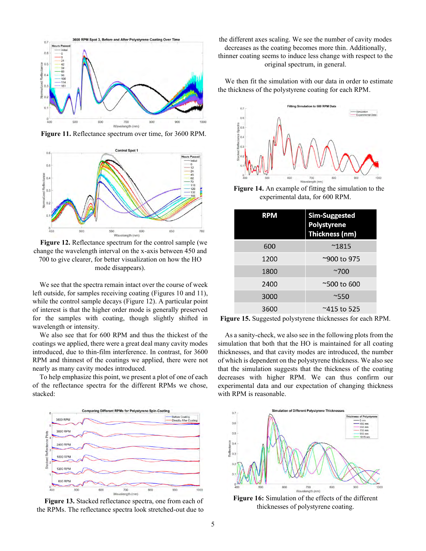

**Figure 11.** Reflectance spectrum over time, for 3600 RPM.



**Figure 12.** Reflectance spectrum for the control sample (we change the wavelength interval on the x-axis between 450 and 700 to give clearer, for better visualization on how the HO mode disappears).

We see that the spectra remain intact over the course of week left outside, for samples receiving coating (Figures 10 and 11), while the control sample decays (Figure 12). A particular point of interest is that the higher order mode is generally preserved for the samples with coating, though slightly shifted in wavelength or intensity.

We also see that for 600 RPM and thus the thickest of the coatings we applied, there were a great deal many cavity modes introduced, due to thin-film interference. In contrast, for 3600 RPM and thinnest of the coatings we applied, there were not nearly as many cavity modes introduced.

To help emphasize this point, we present a plot of one of each of the reflectance spectra for the different RPMs we chose, stacked:



**Figure 13.** Stacked reflectance spectra, one from each of the RPMs. The reflectance spectra look stretched-out due to

the different axes scaling. We see the number of cavity modes decreases as the coating becomes more thin. Additionally, thinner coating seems to induce less change with respect to the original spectrum, in general.

We then fit the simulation with our data in order to estimate the thickness of the polystyrene coating for each RPM.



**Figure 14.** An example of fitting the simulation to the experimental data, for 600 RPM.

| <b>RPM</b> | <b>Sim-Suggested</b><br>Polystyrene<br>Thickness (nm) |
|------------|-------------------------------------------------------|
| 600        | $^{\sim}1815$                                         |
| 1200       | ~900 to 975                                           |
| 1800       | $~\sim$ 700                                           |
| 2400       | $^{\sim}$ 500 to 600                                  |
| 3000       | $^{\sim}550$                                          |
| 3600       | ~415 to 525                                           |

**Figure 15.** Suggested polystyrene thicknesses for each RPM.

As a sanity-check, we also see in the following plots from the simulation that both that the HO is maintained for all coating thicknesses, and that cavity modes are introduced, the number of which is dependent on the polystyrene thickness. We also see that the simulation suggests that the thickness of the coating decreases with higher RPM. We can thus confirm our experimental data and our expectation of changing thickness with RPM is reasonable.



**Figure 16:** Simulation of the effects of the different thicknesses of polystyrene coating.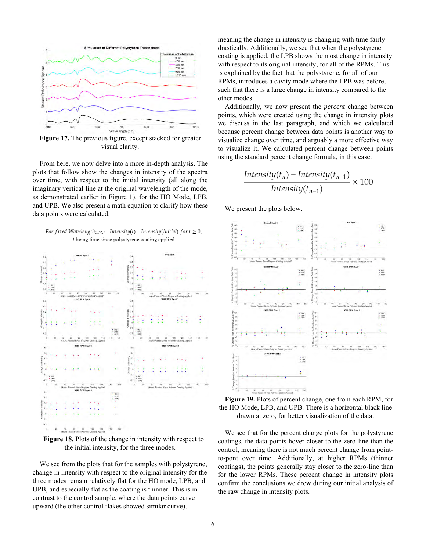

**Figure 17.** The previous figure, except stacked for greater visual clarity.

From here, we now delve into a more in-depth analysis. The plots that follow show the changes in intensity of the spectra over time, with respect to the initial intensity (all along the imaginary vertical line at the original wavelength of the mode, as demonstrated earlier in Figure 1), for the HO Mode, LPB, and UPB. We also present a math equation to clarify how these data points were calculated.

For fixed Wavelength<sub>initial</sub>: Intensity(t) – Intensity(initial) for  $t \ge 0$ , t being time since polystyrene coating applied.



**Figure 18.** Plots of the change in intensity with respect to the initial intensity, for the three modes.

We see from the plots that for the samples with polystyrene, change in intensity with respect to the original intensity for the three modes remain relatively flat for the HO mode, LPB, and UPB, and especially flat as the coating is thinner. This is in contrast to the control sample, where the data points curve upward (the other control flakes showed similar curve),

meaning the change in intensity is changing with time fairly drastically. Additionally, we see that when the polystyrene coating is applied, the LPB shows the most change in intensity with respect to its original intensity, for all of the RPMs. This is explained by the fact that the polystyrene, for all of our RPMs, introduces a cavity mode where the LPB was before, such that there is a large change in intensity compared to the other modes.

Additionally, we now present the *percent* change between points, which were created using the change in intensity plots we discuss in the last paragraph, and which we calculated because percent change between data points is another way to visualize change over time, and arguably a more effective way to visualize it. We calculated percent change between points using the standard percent change formula, in this case:

$$
\frac{\text{Intensity}(t_n) - \text{Intensity}(t_{n-1})}{\text{Intensity}(t_{n-1})} \times 100
$$

We present the plots below.



**Figure 19.** Plots of percent change, one from each RPM, for the HO Mode, LPB, and UPB. There is a horizontal black line drawn at zero, for better visualization of the data.

We see that for the percent change plots for the polystyrene coatings, the data points hover closer to the zero-line than the control, meaning there is not much percent change from pointto-pont over time. Additionally, at higher RPMs (thinner coatings), the points generally stay closer to the zero-line than for the lower RPMs. These percent change in intensity plots confirm the conclusions we drew during our initial analysis of the raw change in intensity plots.